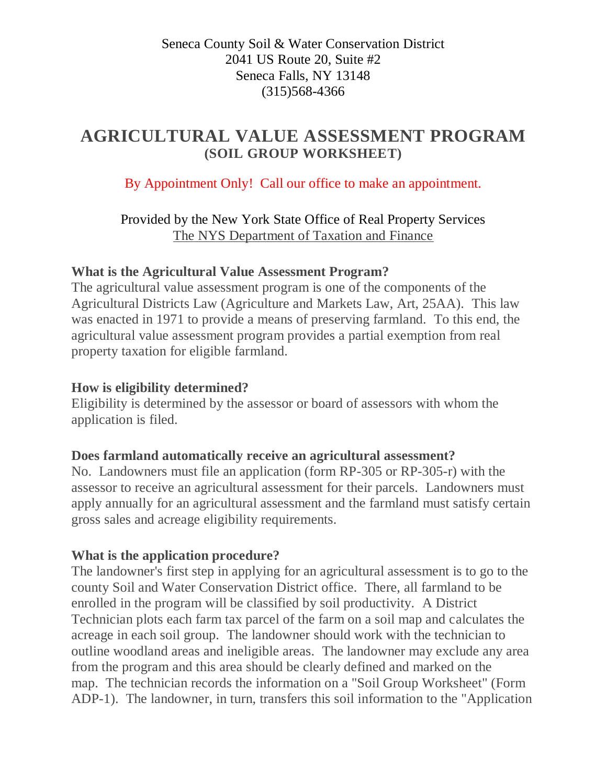## Seneca County Soil & Water Conservation District 2041 US Route 20, Suite #2 Seneca Falls, NY 13148 (315)568-4366

# **AGRICULTURAL VALUE ASSESSMENT PROGRAM (SOIL GROUP WORKSHEET)**

By Appointment Only! Call our office to make an appointment.

Provided by the New York State Office of Real Property Services [The NYS Department of Taxation and Finance](http://www.tax.ny.gov/pit/property/default.htm)

## **What is the Agricultural Value Assessment Program?**

The agricultural value assessment program is one of the components of the Agricultural Districts Law (Agriculture and Markets Law, Art, 25AA). This law was enacted in 1971 to provide a means of preserving farmland. To this end, the agricultural value assessment program provides a partial exemption from real property taxation for eligible farmland.

## **How is eligibility determined?**

Eligibility is determined by the assessor or board of assessors with whom the application is filed.

#### **Does farmland automatically receive an agricultural assessment?**

No. Landowners must file an application (form RP-305 or RP-305-r) with the assessor to receive an agricultural assessment for their parcels. Landowners must apply annually for an agricultural assessment and the farmland must satisfy certain gross sales and acreage eligibility requirements.

# **What is the application procedure?**

The landowner's first step in applying for an agricultural assessment is to go to the county Soil and Water Conservation District office. There, all farmland to be enrolled in the program will be classified by soil productivity. A District Technician plots each farm tax parcel of the farm on a soil map and calculates the acreage in each soil group. The landowner should work with the technician to outline woodland areas and ineligible areas. The landowner may exclude any area from the program and this area should be clearly defined and marked on the map. The technician records the information on a "Soil Group Worksheet" (Form ADP-1). The landowner, in turn, transfers this soil information to the "Application